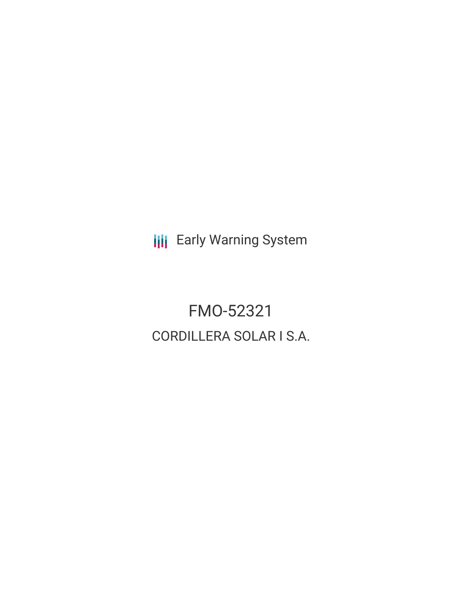**III** Early Warning System

FMO-52321 CORDILLERA SOLAR I S.A.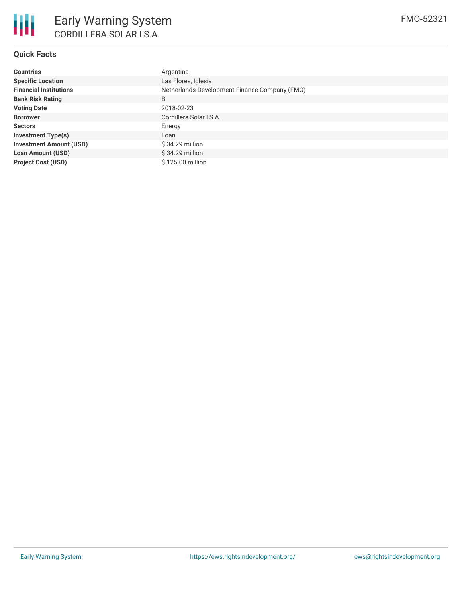

# **Quick Facts**

| <b>Countries</b>               | Argentina                                     |  |  |  |
|--------------------------------|-----------------------------------------------|--|--|--|
| <b>Specific Location</b>       | Las Flores, Iglesia                           |  |  |  |
| <b>Financial Institutions</b>  | Netherlands Development Finance Company (FMO) |  |  |  |
| <b>Bank Risk Rating</b>        | B                                             |  |  |  |
| <b>Voting Date</b>             | 2018-02-23                                    |  |  |  |
| <b>Borrower</b>                | Cordillera Solar I S.A.                       |  |  |  |
| <b>Sectors</b>                 | Energy                                        |  |  |  |
| <b>Investment Type(s)</b>      | Loan                                          |  |  |  |
| <b>Investment Amount (USD)</b> | \$34.29 million                               |  |  |  |
| <b>Loan Amount (USD)</b>       | $$34.29$ million                              |  |  |  |
| <b>Project Cost (USD)</b>      | \$125.00 million                              |  |  |  |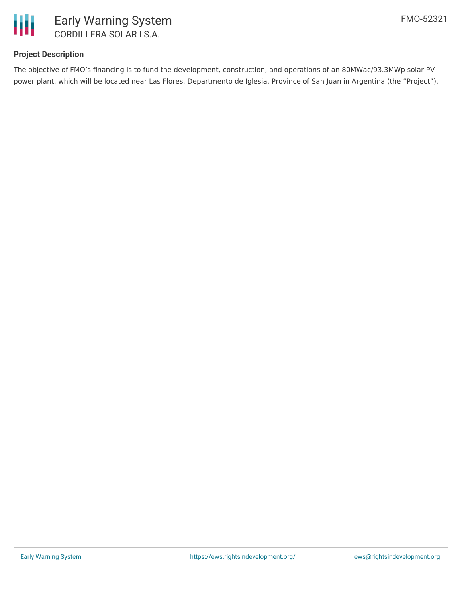

# **Project Description**

The objective of FMO's financing is to fund the development, construction, and operations of an 80MWac/93.3MWp solar PV power plant, which will be located near Las Flores, Departmento de Iglesia, Province of San Juan in Argentina (the "Project").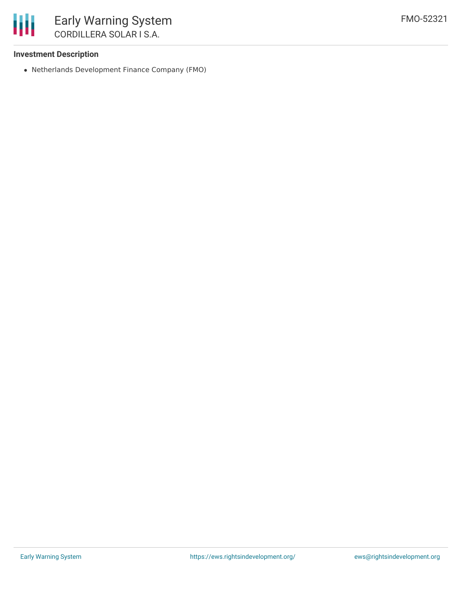

### **Investment Description**

Netherlands Development Finance Company (FMO)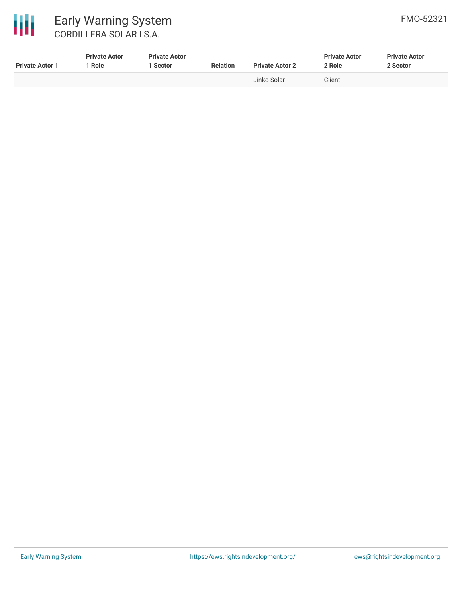

# 冊 Early Warning System CORDILLERA SOLAR I S.A.

| <b>Private Actor 1</b> | <b>Private Actor</b><br>Role | <b>Private Actor</b><br>Sector | <b>Relation</b>          | <b>Private Actor 2</b> | <b>Private Actor</b><br>2 Role | <b>Private Actor</b><br>2 Sector |
|------------------------|------------------------------|--------------------------------|--------------------------|------------------------|--------------------------------|----------------------------------|
| $\sim$                 |                              |                                | $\overline{\phantom{0}}$ | Jinko Solar            | Client                         | $\overline{\phantom{a}}$         |